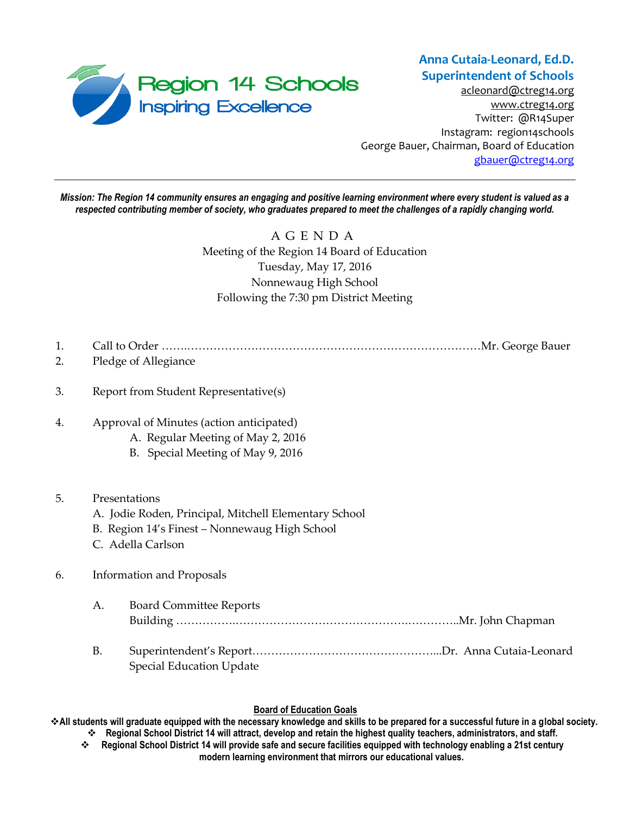

[acleonard@ctreg14.org](mailto:acleonard@ctreg14.org) [www.ctreg14.org](http://www.ctreg14.org/) Twitter: @R14Super Instagram: region14schools George Bauer, Chairman, Board of Education [gbauer@ctreg14.org](mailto:gbauer@ctreg14.org)

*Mission: The Region 14 community ensures an engaging and positive learning environment where every student is valued as a respected contributing member of society, who graduates prepared to meet the challenges of a rapidly changing world.*

> A G E N D A Meeting of the Region 14 Board of Education Tuesday, May 17, 2016 Nonnewaug High School Following the 7:30 pm District Meeting

- 1. Call to Order …….……………………………………………………………………Mr. George Bauer
- 2. Pledge of Allegiance
- 3. Report from Student Representative(s)
- 4. Approval of Minutes (action anticipated)
	- A. Regular Meeting of May 2, 2016
	- B. Special Meeting of May 9, 2016

# 5. Presentations

- A. Jodie Roden, Principal, Mitchell Elementary School
- B. Region 14's Finest Nonnewaug High School
- C. Adella Carlson

# 6. Information and Proposals

- A. Board Committee Reports Building …………….……………………………………….…………..Mr. John Chapman
- B. Superintendent's Report…………………………………………...Dr. Anna Cutaia-Leonard Special Education Update

# **Board of Education Goals**

**All students will graduate equipped with the necessary knowledge and skills to be prepared for a successful future in a global society. Regional School District 14 will attract, develop and retain the highest quality teachers, administrators, and staff.**

 **Regional School District 14 will provide safe and secure facilities equipped with technology enabling a 21st century modern learning environment that mirrors our educational values.**